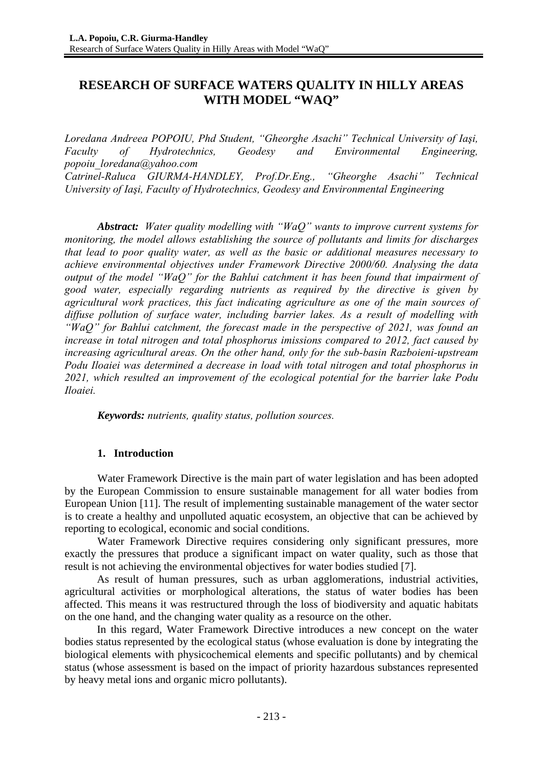# **RESEARCH OF SURFACE WATERS QUALITY IN HILLY AREAS WITH MODEL "WAQ"**

*Loredana Andreea POPOIU, Phd Student, "Gheorghe Asachi" Technical University of Iaşi, Faculty of Hydrotechnics, Geodesy and Environmental Engineering, popoiu\_loredana@yahoo.com Catrinel-Raluca GIURMA-HANDLEY, Prof.Dr.Eng., "Gheorghe Asachi" Technical* 

*University of Iaşi, Faculty of Hydrotechnics, Geodesy and Environmental Engineering* 

*Abstract: Water quality modelling with "WaQ" wants to improve current systems for monitoring, the model allows establishing the source of pollutants and limits for discharges that lead to poor quality water, as well as the basic or additional measures necessary to achieve environmental objectives under Framework Directive 2000/60. Analysing the data output of the model "WaQ" for the Bahlui catchment it has been found that impairment of good water, especially regarding nutrients as required by the directive is given by agricultural work practices, this fact indicating agriculture as one of the main sources of diffuse pollution of surface water, including barrier lakes. As a result of modelling with "WaQ" for Bahlui catchment, the forecast made in the perspective of 2021, was found an increase in total nitrogen and total phosphorus imissions compared to 2012, fact caused by increasing agricultural areas. On the other hand, only for the sub-basin Razboieni-upstream Podu Iloaiei was determined a decrease in load with total nitrogen and total phosphorus in 2021, which resulted an improvement of the ecological potential for the barrier lake Podu Iloaiei.* 

*Keywords: nutrients, quality status, pollution sources.* 

## **1. Introduction**

Water Framework Directive is the main part of water legislation and has been adopted by the European Commission to ensure sustainable management for all water bodies from European Union [11]. The result of implementing sustainable management of the water sector is to create a healthy and unpolluted aquatic ecosystem, an objective that can be achieved by reporting to ecological, economic and social conditions.

Water Framework Directive requires considering only significant pressures, more exactly the pressures that produce a significant impact on water quality, such as those that result is not achieving the environmental objectives for water bodies studied [7].

As result of human pressures, such as urban agglomerations, industrial activities, agricultural activities or morphological alterations, the status of water bodies has been affected. This means it was restructured through the loss of biodiversity and aquatic habitats on the one hand, and the changing water quality as a resource on the other.

In this regard, Water Framework Directive introduces a new concept on the water bodies status represented by the ecological status (whose evaluation is done by integrating the biological elements with physicochemical elements and specific pollutants) and by chemical status (whose assessment is based on the impact of priority hazardous substances represented by heavy metal ions and organic micro pollutants).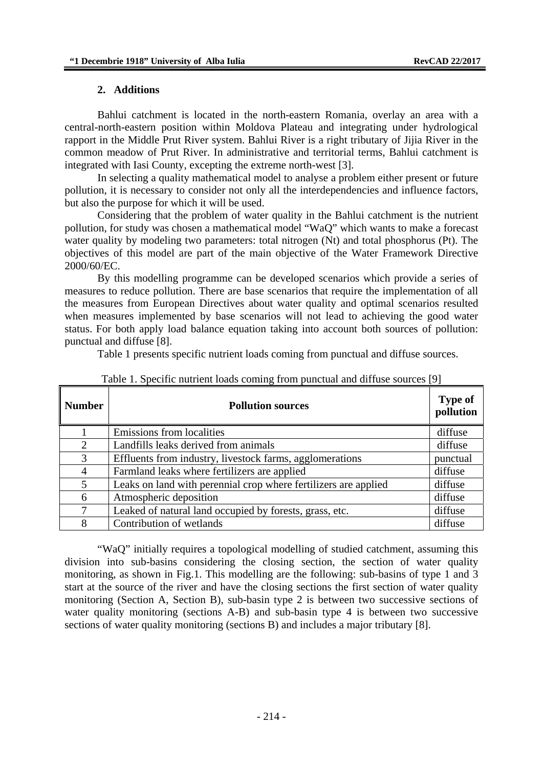#### **2. Additions**

Bahlui catchment is located in the north-eastern Romania, overlay an area with a central-north-eastern position within Moldova Plateau and integrating under hydrological rapport in the Middle Prut River system. Bahlui River is a right tributary of Jijia River in the common meadow of Prut River. In administrative and territorial terms, Bahlui catchment is integrated with Iasi County, excepting the extreme north-west [3].

In selecting a quality mathematical model to analyse a problem either present or future pollution, it is necessary to consider not only all the interdependencies and influence factors, but also the purpose for which it will be used.

Considering that the problem of water quality in the Bahlui catchment is the nutrient pollution, for study was chosen a mathematical model "WaQ" which wants to make a forecast water quality by modeling two parameters: total nitrogen (Nt) and total phosphorus (Pt). The objectives of this model are part of the main objective of the Water Framework Directive 2000/60/EC.

By this modelling programme can be developed scenarios which provide a series of measures to reduce pollution. There are base scenarios that require the implementation of all the measures from European Directives about water quality and optimal scenarios resulted when measures implemented by base scenarios will not lead to achieving the good water status. For both apply load balance equation taking into account both sources of pollution: punctual and diffuse [8].

Table 1 presents specific nutrient loads coming from punctual and diffuse sources.

| <b>Number</b>  | <b>Pollution sources</b>                                        | <b>Type of</b><br>pollution |
|----------------|-----------------------------------------------------------------|-----------------------------|
|                | Emissions from localities                                       | diffuse                     |
| $\overline{2}$ | Landfills leaks derived from animals                            | diffuse                     |
| 3              | Effluents from industry, livestock farms, agglomerations        | punctual                    |
| 4              | Farmland leaks where fertilizers are applied                    | diffuse                     |
| 5              | Leaks on land with perennial crop where fertilizers are applied | diffuse                     |
| 6              | Atmospheric deposition                                          | diffuse                     |
| 7              | Leaked of natural land occupied by forests, grass, etc.         | diffuse                     |
| 8              | Contribution of wetlands                                        | diffuse                     |

| Table 1. Specific nutrient loads coming from punctual and diffuse sources [9] |  |  |  |  |  |
|-------------------------------------------------------------------------------|--|--|--|--|--|
|                                                                               |  |  |  |  |  |

"WaQ" initially requires a topological modelling of studied catchment, assuming this division into sub-basins considering the closing section, the section of water quality monitoring, as shown in Fig.1. This modelling are the following: sub-basins of type 1 and 3 start at the source of the river and have the closing sections the first section of water quality monitoring (Section A, Section B), sub-basin type 2 is between two successive sections of water quality monitoring (sections A-B) and sub-basin type 4 is between two successive sections of water quality monitoring (sections B) and includes a major tributary [8].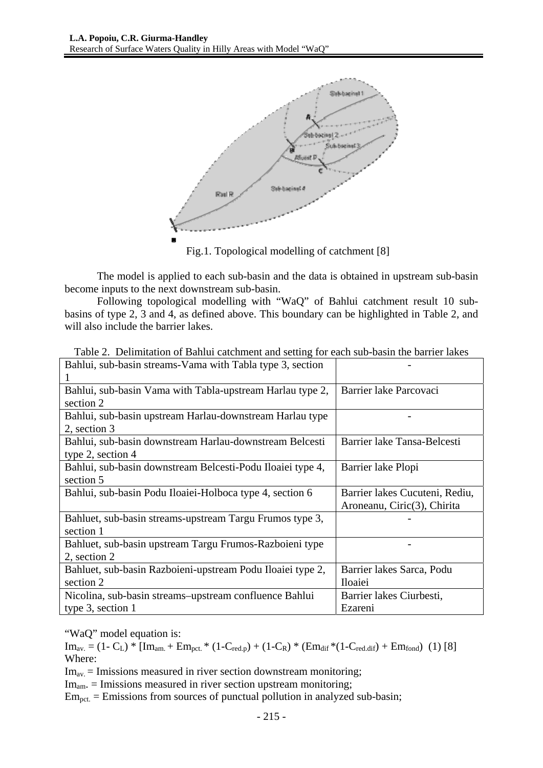

Fig.1. Topological modelling of catchment [8]

The model is applied to each sub-basin and the data is obtained in upstream sub-basin become inputs to the next downstream sub-basin.

Following topological modelling with "WaQ" of Bahlui catchment result 10 subbasins of type 2, 3 and 4, as defined above. This boundary can be highlighted in Table 2, and will also include the barrier lakes.

| Bahlui, sub-basin streams-Vama with Tabla type 3, section  |                                |
|------------------------------------------------------------|--------------------------------|
|                                                            |                                |
| Bahlui, sub-basin Vama with Tabla-upstream Harlau type 2,  | Barrier lake Parcovaci         |
| section 2                                                  |                                |
| Bahlui, sub-basin upstream Harlau-downstream Harlau type   |                                |
| 2, section 3                                               |                                |
| Bahlui, sub-basin downstream Harlau-downstream Belcesti    | Barrier lake Tansa-Belcesti    |
| type 2, section $4$                                        |                                |
| Bahlui, sub-basin downstream Belcesti-Podu Iloaiei type 4, | Barrier lake Plopi             |
| section 5                                                  |                                |
| Bahlui, sub-basin Podu Iloaiei-Holboca type 4, section 6   | Barrier lakes Cucuteni, Rediu, |
|                                                            | Aroneanu, Ciric(3), Chirita    |
| Bahluet, sub-basin streams-upstream Targu Frumos type 3,   |                                |
| section 1                                                  |                                |
| Bahluet, sub-basin upstream Targu Frumos-Razboieni type    |                                |
| 2, section 2                                               |                                |
| Bahluet, sub-basin Razboieni-upstream Podu Iloaiei type 2, | Barrier lakes Sarca, Podu      |
| section 2                                                  | Iloaiei                        |
| Nicolina, sub-basin streams-upstream confluence Bahlui     | Barrier lakes Ciurbesti,       |
| type $3$ , section 1                                       | Ezareni                        |

Table 2. Delimitation of Bahlui catchment and setting for each sub-basin the barrier lakes

"WaO" model equation is:

 $Im_{av.} = (1 - C_L) * [Im_{am.} + Em_{oct.} * (1 - C_{red.p}) + (1 - C_R) * (Em_{dif} * (1 - C_{red.di} + Em_{fond}) (1) [8]]$ Where:

 $Im<sub>av</sub> = Imissions measured in river section downstream monitoring;$ 

 $Im<sub>am</sub> = Imissions measured in river section upstream monitoring;$ 

 $Em_{pot.} = Emissions$  from sources of punctual pollution in analyzed sub-basin;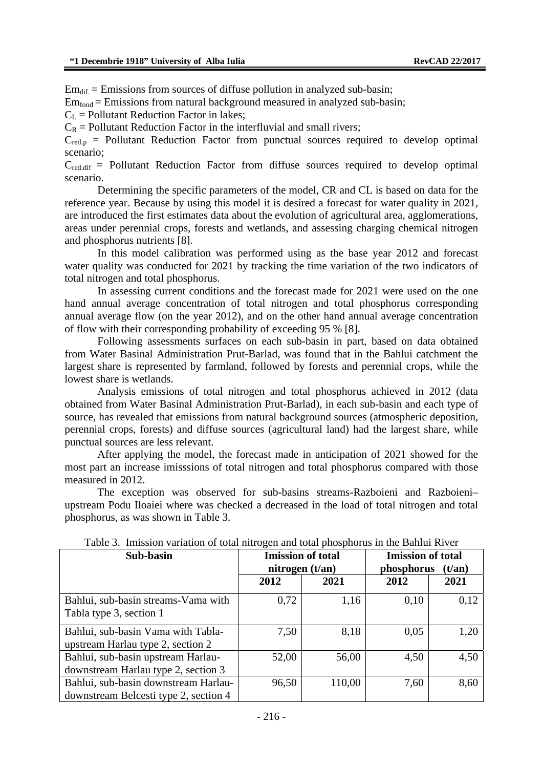$Em_{dif} = Emissions$  from sources of diffuse pollution in analyzed sub-basin;

 $Em<sub>fond</sub> = E$ missions from natural background measured in analyzed sub-basin;

 $C<sub>L</sub>$  = Pollutant Reduction Factor in lakes;

 $C_R$  = Pollutant Reduction Factor in the interfluvial and small rivers:

 $C_{\text{red},p}$  = Pollutant Reduction Factor from punctual sources required to develop optimal scenario;

 $C_{\text{red dif}}$  = Pollutant Reduction Factor from diffuse sources required to develop optimal scenario.

Determining the specific parameters of the model, CR and CL is based on data for the reference year. Because by using this model it is desired a forecast for water quality in 2021, are introduced the first estimates data about the evolution of agricultural area, agglomerations, areas under perennial crops, forests and wetlands, and assessing charging chemical nitrogen and phosphorus nutrients [8].

In this model calibration was performed using as the base year 2012 and forecast water quality was conducted for 2021 by tracking the time variation of the two indicators of total nitrogen and total phosphorus.

In assessing current conditions and the forecast made for 2021 were used on the one hand annual average concentration of total nitrogen and total phosphorus corresponding annual average flow (on the year 2012), and on the other hand annual average concentration of flow with their corresponding probability of exceeding 95 % [8].

 Following assessments surfaces on each sub-basin in part, based on data obtained from Water Basinal Administration Prut-Barlad, was found that in the Bahlui catchment the largest share is represented by farmland, followed by forests and perennial crops, while the lowest share is wetlands.

Analysis emissions of total nitrogen and total phosphorus achieved in 2012 (data obtained from Water Basinal Administration Prut-Barlad), in each sub-basin and each type of source, has revealed that emissions from natural background sources (atmospheric deposition, perennial crops, forests) and diffuse sources (agricultural land) had the largest share, while punctual sources are less relevant.

After applying the model, the forecast made in anticipation of 2021 showed for the most part an increase imisssions of total nitrogen and total phosphorus compared with those measured in 2012.

The exception was observed for sub-basins streams-Razboieni and Razboieni– upstream Podu Iloaiei where was checked a decreased in the load of total nitrogen and total phosphorus, as was shown in Table 3.

| Sub-basin                                                                     | <b>Imission of total</b> |                          | <b>Imission of total</b>      |      |  |
|-------------------------------------------------------------------------------|--------------------------|--------------------------|-------------------------------|------|--|
|                                                                               |                          | nitrogen $(t/\text{an})$ | phosphorus<br>$(t/\text{an})$ |      |  |
|                                                                               | 2012                     | 2021                     | 2012                          | 2021 |  |
| Bahlui, sub-basin streams-Vama with<br>Tabla type 3, section 1                | 0,72                     | 1,16                     | 0,10                          | 0,12 |  |
| Bahlui, sub-basin Vama with Tabla-<br>upstream Harlau type 2, section 2       | 7,50                     | 8,18                     | 0,05                          | 1,20 |  |
| Bahlui, sub-basin upstream Harlau-<br>downstream Harlau type 2, section 3     | 52,00                    | 56,00                    | 4,50                          | 4,50 |  |
| Bahlui, sub-basin downstream Harlau-<br>downstream Belcesti type 2, section 4 | 96,50                    | 110,00                   | 7,60                          | 8,60 |  |

Table 3. Imission variation of total nitrogen and total phosphorus in the Bahlui River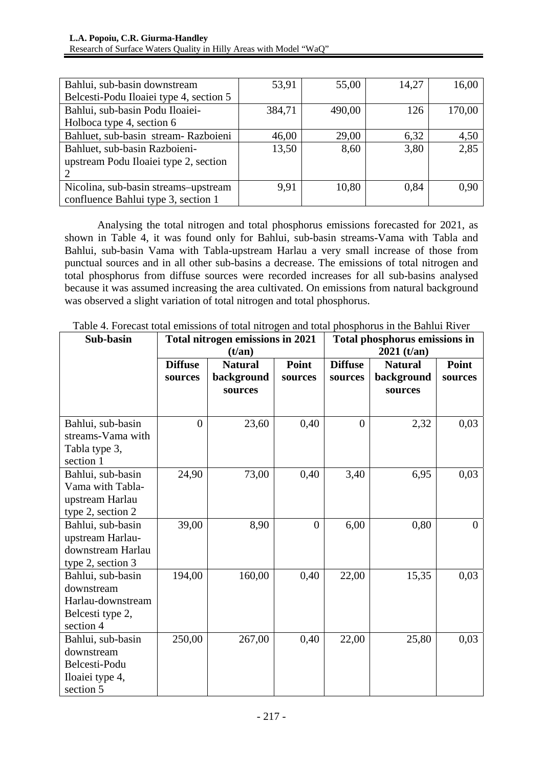| Bahlui, sub-basin downstream            | 53,91  | 55,00  | 14,27 | 16,00  |
|-----------------------------------------|--------|--------|-------|--------|
| Belcesti-Podu Iloaiei type 4, section 5 |        |        |       |        |
| Bahlui, sub-basin Podu Iloaiei-         | 384,71 | 490,00 | 126   | 170,00 |
| Holboca type 4, section 6               |        |        |       |        |
| Bahluet, sub-basin stream-Razboieni     | 46,00  | 29,00  | 6,32  | 4,50   |
| Bahluet, sub-basin Razboieni-           | 13,50  | 8,60   | 3,80  | 2,85   |
| upstream Podu Iloaiei type 2, section   |        |        |       |        |
|                                         |        |        |       |        |
| Nicolina, sub-basin streams-upstream    | 9.91   | 10,80  | 0.84  | 0.90   |
| confluence Bahlui type 3, section 1     |        |        |       |        |

Analysing the total nitrogen and total phosphorus emissions forecasted for 2021, as shown in Table 4, it was found only for Bahlui, sub-basin streams-Vama with Tabla and Bahlui, sub-basin Vama with Tabla-upstream Harlau a very small increase of those from punctual sources and in all other sub-basins a decrease. The emissions of total nitrogen and total phosphorus from diffuse sources were recorded increases for all sub-basins analysed because it was assumed increasing the area cultivated. On emissions from natural background was observed a slight variation of total nitrogen and total phosphorus.

| Sub-basin         |                                  | Total nitrogen emissions in 2021 |                | Total phosphorus emissions in |                |                |  |
|-------------------|----------------------------------|----------------------------------|----------------|-------------------------------|----------------|----------------|--|
|                   | $(t/\text{an})$                  |                                  |                | $2021$ (t/an)                 |                |                |  |
|                   | <b>Diffuse</b><br><b>Natural</b> |                                  | Point          | <b>Diffuse</b>                | <b>Natural</b> | Point          |  |
|                   | sources                          | background                       | sources        | sources                       | background     | sources        |  |
|                   |                                  | sources                          |                |                               | sources        |                |  |
|                   |                                  |                                  |                |                               |                |                |  |
| Bahlui, sub-basin | $\overline{0}$                   | 23,60                            | 0,40           | $\theta$                      | 2,32           | 0,03           |  |
| streams-Vama with |                                  |                                  |                |                               |                |                |  |
| Tabla type 3,     |                                  |                                  |                |                               |                |                |  |
| section 1         |                                  |                                  |                |                               |                |                |  |
| Bahlui, sub-basin | 24,90                            | 73,00                            | 0,40           | 3,40                          | 6,95           | 0,03           |  |
| Vama with Tabla-  |                                  |                                  |                |                               |                |                |  |
| upstream Harlau   |                                  |                                  |                |                               |                |                |  |
| type 2, section 2 |                                  |                                  |                |                               |                |                |  |
| Bahlui, sub-basin | 39,00                            | 8,90                             | $\overline{0}$ | 6,00                          | 0,80           | $\overline{0}$ |  |
| upstream Harlau-  |                                  |                                  |                |                               |                |                |  |
| downstream Harlau |                                  |                                  |                |                               |                |                |  |
| type 2, section 3 |                                  |                                  |                |                               |                |                |  |
| Bahlui, sub-basin | 194,00                           | 160,00                           | 0,40           | 22,00                         | 15,35          | 0,03           |  |
| downstream        |                                  |                                  |                |                               |                |                |  |
| Harlau-downstream |                                  |                                  |                |                               |                |                |  |
| Belcesti type 2,  |                                  |                                  |                |                               |                |                |  |
| section 4         |                                  |                                  |                |                               |                |                |  |
| Bahlui, sub-basin | 250,00                           | 267,00                           | 0,40           | 22,00                         | 25,80          | 0,03           |  |
| downstream        |                                  |                                  |                |                               |                |                |  |
| Belcesti-Podu     |                                  |                                  |                |                               |                |                |  |
| Iloaiei type 4,   |                                  |                                  |                |                               |                |                |  |
| section 5         |                                  |                                  |                |                               |                |                |  |

Table 4. Forecast total emissions of total nitrogen and total phosphorus in the Bahlui River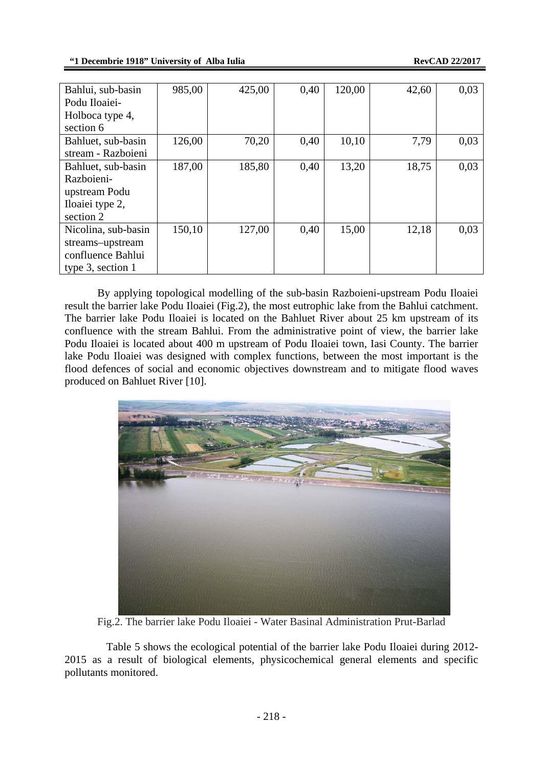| Bahlui, sub-basin      | 985,00 | 425,00 | 0,40 | 120,00 | 42,60 | 0,03 |
|------------------------|--------|--------|------|--------|-------|------|
| Podu Iloaiei-          |        |        |      |        |       |      |
| Holboca type 4,        |        |        |      |        |       |      |
| section 6              |        |        |      |        |       |      |
| Bahluet, sub-basin     | 126,00 | 70,20  | 0,40 | 10,10  | 7.79  | 0,03 |
| stream - Razboieni     |        |        |      |        |       |      |
| Bahluet, sub-basin     | 187,00 | 185,80 | 0,40 | 13,20  | 18,75 | 0,03 |
| Razboieni-             |        |        |      |        |       |      |
| upstream Podu          |        |        |      |        |       |      |
| Iloaiei type 2,        |        |        |      |        |       |      |
| section 2              |        |        |      |        |       |      |
| Nicolina, sub-basin    | 150,10 | 127,00 | 0,40 | 15,00  | 12,18 | 0,03 |
| streams-upstream       |        |        |      |        |       |      |
| confluence Bahlui      |        |        |      |        |       |      |
| type $3$ , section $1$ |        |        |      |        |       |      |

 By applying topological modelling of the sub-basin Razboieni-upstream Podu Iloaiei result the barrier lake Podu Iloaiei (Fig.2), the most eutrophic lake from the Bahlui catchment. The barrier lake Podu Iloaiei is located on the Bahluet River about 25 km upstream of its confluence with the stream Bahlui. From the administrative point of view, the barrier lake Podu Iloaiei is located about 400 m upstream of Podu Iloaiei town, Iasi County. The barrier lake Podu Iloaiei was designed with complex functions, between the most important is the flood defences of social and economic objectives downstream and to mitigate flood waves produced on Bahluet River [10].



Fig.2. The barrier lake Podu Iloaiei - Water Basinal Administration Prut-Barlad

Table 5 shows the ecological potential of the barrier lake Podu Iloaiei during 2012- 2015 as a result of biological elements, physicochemical general elements and specific pollutants monitored.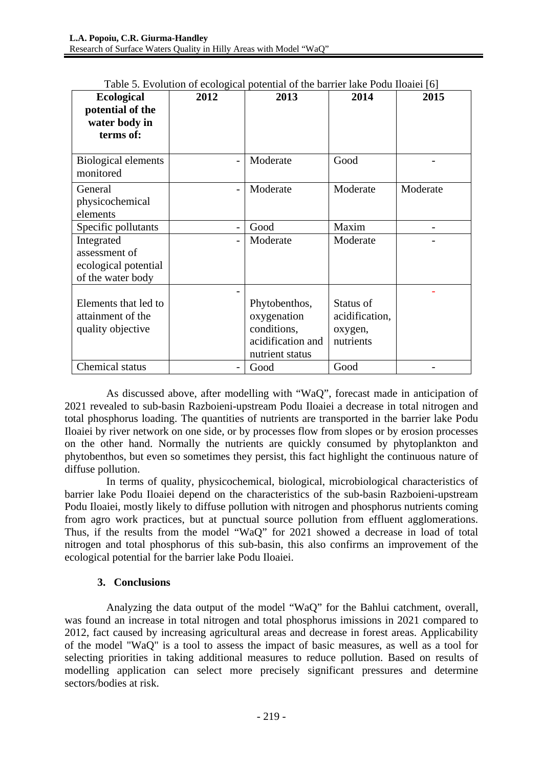|                            |      | Twore $\sigma$ . Evolution of ecological potential of the barrier fake I out floater [0] |                |          |  |  |
|----------------------------|------|------------------------------------------------------------------------------------------|----------------|----------|--|--|
| <b>Ecological</b>          | 2012 | 2013                                                                                     | 2014           | 2015     |  |  |
| potential of the           |      |                                                                                          |                |          |  |  |
| water body in              |      |                                                                                          |                |          |  |  |
| terms of:                  |      |                                                                                          |                |          |  |  |
|                            |      |                                                                                          |                |          |  |  |
| <b>Biological elements</b> |      | Moderate                                                                                 | Good           |          |  |  |
| monitored                  |      |                                                                                          |                |          |  |  |
|                            |      |                                                                                          |                |          |  |  |
| General                    |      | Moderate                                                                                 | Moderate       | Moderate |  |  |
| physicochemical            |      |                                                                                          |                |          |  |  |
| elements                   |      |                                                                                          |                |          |  |  |
| Specific pollutants        |      | Good                                                                                     | Maxim          |          |  |  |
| Integrated                 |      | Moderate                                                                                 | Moderate       |          |  |  |
| assessment of              |      |                                                                                          |                |          |  |  |
| ecological potential       |      |                                                                                          |                |          |  |  |
| of the water body          |      |                                                                                          |                |          |  |  |
|                            |      |                                                                                          |                |          |  |  |
| Elements that led to       |      | Phytobenthos,                                                                            | Status of      |          |  |  |
| attainment of the          |      | oxygenation                                                                              | acidification, |          |  |  |
| quality objective          |      | conditions,                                                                              | oxygen,        |          |  |  |
|                            |      | acidification and                                                                        | nutrients      |          |  |  |
|                            |      | nutrient status                                                                          |                |          |  |  |
|                            |      |                                                                                          |                |          |  |  |
| Chemical status            |      | Good                                                                                     | Good           |          |  |  |

Table 5. Evolution of ecological potential of the barrier lake Podu Iloaiei [6]

As discussed above, after modelling with "WaQ", forecast made in anticipation of 2021 revealed to sub-basin Razboieni-upstream Podu Iloaiei a decrease in total nitrogen and total phosphorus loading. The quantities of nutrients are transported in the barrier lake Podu Iloaiei by river network on one side, or by processes flow from slopes or by erosion processes on the other hand. Normally the nutrients are quickly consumed by phytoplankton and phytobenthos, but even so sometimes they persist, this fact highlight the continuous nature of diffuse pollution.

In terms of quality, physicochemical, biological, microbiological characteristics of barrier lake Podu Iloaiei depend on the characteristics of the sub-basin Razboieni-upstream Podu Iloaiei, mostly likely to diffuse pollution with nitrogen and phosphorus nutrients coming from agro work practices, but at punctual source pollution from effluent agglomerations. Thus, if the results from the model "WaQ" for 2021 showed a decrease in load of total nitrogen and total phosphorus of this sub-basin, this also confirms an improvement of the ecological potential for the barrier lake Podu Iloaiei.

### **3. Conclusions**

 Analyzing the data output of the model "WaQ" for the Bahlui catchment, overall, was found an increase in total nitrogen and total phosphorus imissions in 2021 compared to 2012, fact caused by increasing agricultural areas and decrease in forest areas. Applicability of the model "WaQ" is a tool to assess the impact of basic measures, as well as a tool for selecting priorities in taking additional measures to reduce pollution. Based on results of modelling application can select more precisely significant pressures and determine sectors/bodies at risk.